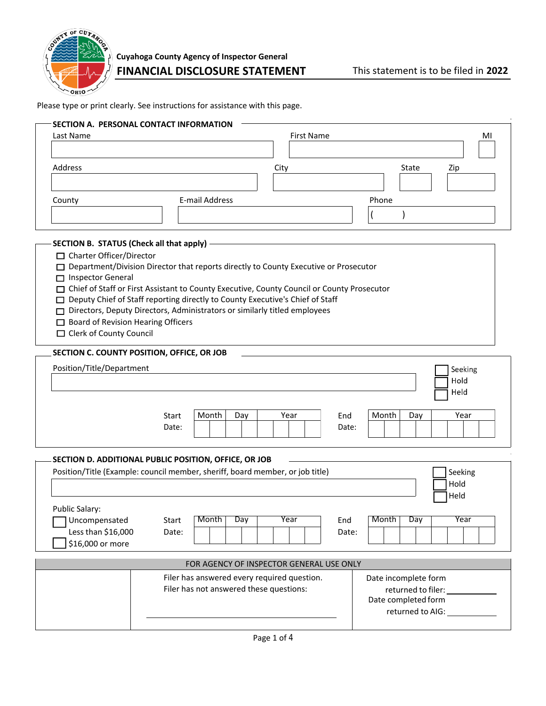

Please type or print clearly. See instructions for assistance with this page.

| Last Name                                                                                                                                                        |                                                                                                                                                                                                                                                                                                                                                          | <b>First Name</b> |                       | MI                                                                |
|------------------------------------------------------------------------------------------------------------------------------------------------------------------|----------------------------------------------------------------------------------------------------------------------------------------------------------------------------------------------------------------------------------------------------------------------------------------------------------------------------------------------------------|-------------------|-----------------------|-------------------------------------------------------------------|
| Address                                                                                                                                                          |                                                                                                                                                                                                                                                                                                                                                          | City              |                       | State<br>Zip                                                      |
| County                                                                                                                                                           | E-mail Address                                                                                                                                                                                                                                                                                                                                           |                   | Phone                 |                                                                   |
|                                                                                                                                                                  |                                                                                                                                                                                                                                                                                                                                                          |                   |                       |                                                                   |
| SECTION B. STATUS (Check all that apply)<br>□ Charter Officer/Director<br>Inspector General<br>□ Board of Revision Hearing Officers<br>□ Clerk of County Council | □ Department/Division Director that reports directly to County Executive or Prosecutor<br>□ Chief of Staff or First Assistant to County Executive, County Council or County Prosecutor<br>□ Deputy Chief of Staff reporting directly to County Executive's Chief of Staff<br>□ Directors, Deputy Directors, Administrators or similarly titled employees |                   |                       |                                                                   |
| SECTION C. COUNTY POSITION, OFFICE, OR JOB                                                                                                                       |                                                                                                                                                                                                                                                                                                                                                          |                   |                       |                                                                   |
| Position/Title/Department                                                                                                                                        |                                                                                                                                                                                                                                                                                                                                                          |                   |                       | Seeking<br>Hold<br>Held                                           |
|                                                                                                                                                                  | Month<br>Day<br>Start<br>Date:                                                                                                                                                                                                                                                                                                                           | Year              | Month<br>End<br>Date: | Year<br>Day                                                       |
|                                                                                                                                                                  | SECTION D. ADDITIONAL PUBLIC POSITION, OFFICE, OR JOB                                                                                                                                                                                                                                                                                                    |                   |                       |                                                                   |
| <b>Public Salary:</b>                                                                                                                                            | Position/Title (Example: council member, sheriff, board member, or job title)                                                                                                                                                                                                                                                                            |                   |                       | Seeking<br>Hold<br>Held                                           |
| Uncompensated<br>Less than \$16,000<br>\$16,000 or more                                                                                                          | Month<br>Day<br>Start<br>Date:                                                                                                                                                                                                                                                                                                                           | Year              | Month<br>End<br>Date: | Year<br>Day                                                       |
|                                                                                                                                                                  | FOR AGENCY OF INSPECTOR GENERAL USE ONLY                                                                                                                                                                                                                                                                                                                 |                   |                       |                                                                   |
|                                                                                                                                                                  | Filer has answered every required question.<br>Filer has not answered these questions:                                                                                                                                                                                                                                                                   |                   |                       | Date incomplete form<br>returned to filer:<br>Date completed form |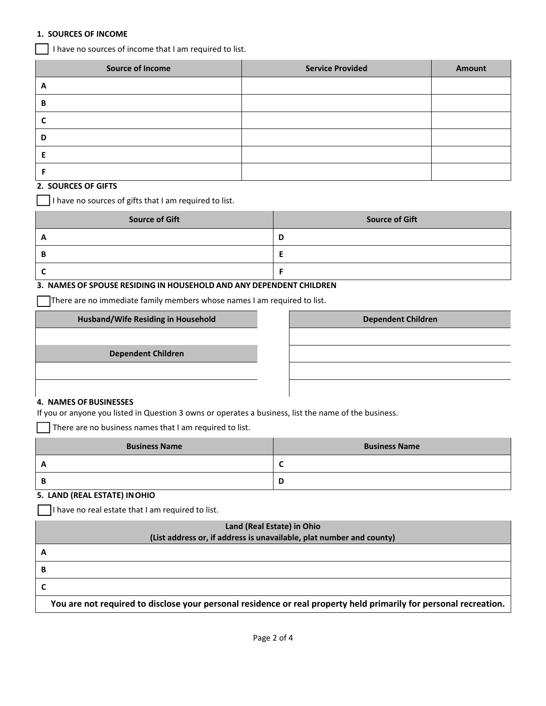## **1. SOURCES OF INCOME**

I have no sources of income that I am required to list.

| <b>Source of Income</b> | <b>Service Provided</b> | <b>Amount</b> |
|-------------------------|-------------------------|---------------|
| $\mathbf{A}$            |                         |               |
| В                       |                         |               |
|                         |                         |               |
| D                       |                         |               |
|                         |                         |               |
|                         |                         |               |

## **2. SOURCES OF GIFTS**

I have no sources of gifts that I am required to list.

| <b>Source of Gift</b> | <b>Source of Gift</b> |
|-----------------------|-----------------------|
|                       | E                     |
| Е                     |                       |
|                       |                       |

## **3. NAMES OF SPOUSE RESIDING IN HOUSEHOLD AND ANY DEPENDENT CHILDREN**

There are no immediate family members whose names I am required to list.

**Husband/Wife Residing in Household**

**Dependent Children**

| <b>Dependent Children</b> |  |  |
|---------------------------|--|--|
|                           |  |  |
|                           |  |  |
|                           |  |  |
|                           |  |  |

#### **4. NAMES OFBUSINESSES**

If you or anyone you listed in Question 3 owns or operates a business, list the name of the business.

 $\Box$  There are no business names that I am required to list.

| <b>Business Name</b> | <b>Business Name</b> |
|----------------------|----------------------|
| A                    | ╭<br>∼               |
| B                    | D                    |

# **5. LAND (REAL ESTATE) INOHIO**

I have no real estate that I am required to list.

| Land (Real Estate) in Ohio                                                                                        |  |  |
|-------------------------------------------------------------------------------------------------------------------|--|--|
| (List address or, if address is unavailable, plat number and county)                                              |  |  |
|                                                                                                                   |  |  |
| В                                                                                                                 |  |  |
|                                                                                                                   |  |  |
| You are not required to disclose your personal residence or real property held primarily for personal recreation. |  |  |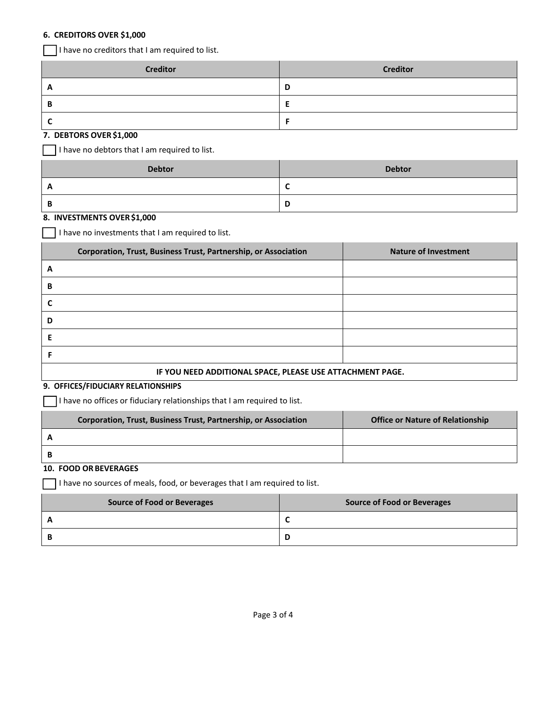#### **6. CREDITORS OVER \$1,000**

I have no creditors that I am required to list.

| <b>Creditor</b> | <b>Creditor</b> |
|-----------------|-----------------|
| А               | D               |
|                 |                 |
|                 |                 |

### **7. DEBTORS OVER \$1,000**

I have no debtors that I am required to list.

| <b>Debtor</b> | <b>Debtor</b> |
|---------------|---------------|
|               |               |
|               | ш             |

#### **8. INVESTMENTS OVER\$1,000**

I have no investments that I am required to list.

|                                                           | Corporation, Trust, Business Trust, Partnership, or Association | <b>Nature of Investment</b> |
|-----------------------------------------------------------|-----------------------------------------------------------------|-----------------------------|
| A                                                         |                                                                 |                             |
| В                                                         |                                                                 |                             |
|                                                           |                                                                 |                             |
| D                                                         |                                                                 |                             |
| Е                                                         |                                                                 |                             |
|                                                           |                                                                 |                             |
| IF YOU NEED ADDITIONAL SPACE, PLEASE USE ATTACHMENT PAGE. |                                                                 |                             |

#### **9. OFFICES/FIDUCIARY RELATIONSHIPS**

 $\Box$  I have no offices or fiduciary relationships that I am required to list.

| Corporation, Trust, Business Trust, Partnership, or Association | <b>Office or Nature of Relationship</b> |
|-----------------------------------------------------------------|-----------------------------------------|
|                                                                 |                                         |
|                                                                 |                                         |

## **10. FOOD OR BEVERAGES**

 $\Box$  I have no sources of meals, food, or beverages that I am required to list.

| <b>Source of Food or Beverages</b> | Source of Food or Beverages |
|------------------------------------|-----------------------------|
|                                    |                             |
|                                    | D                           |